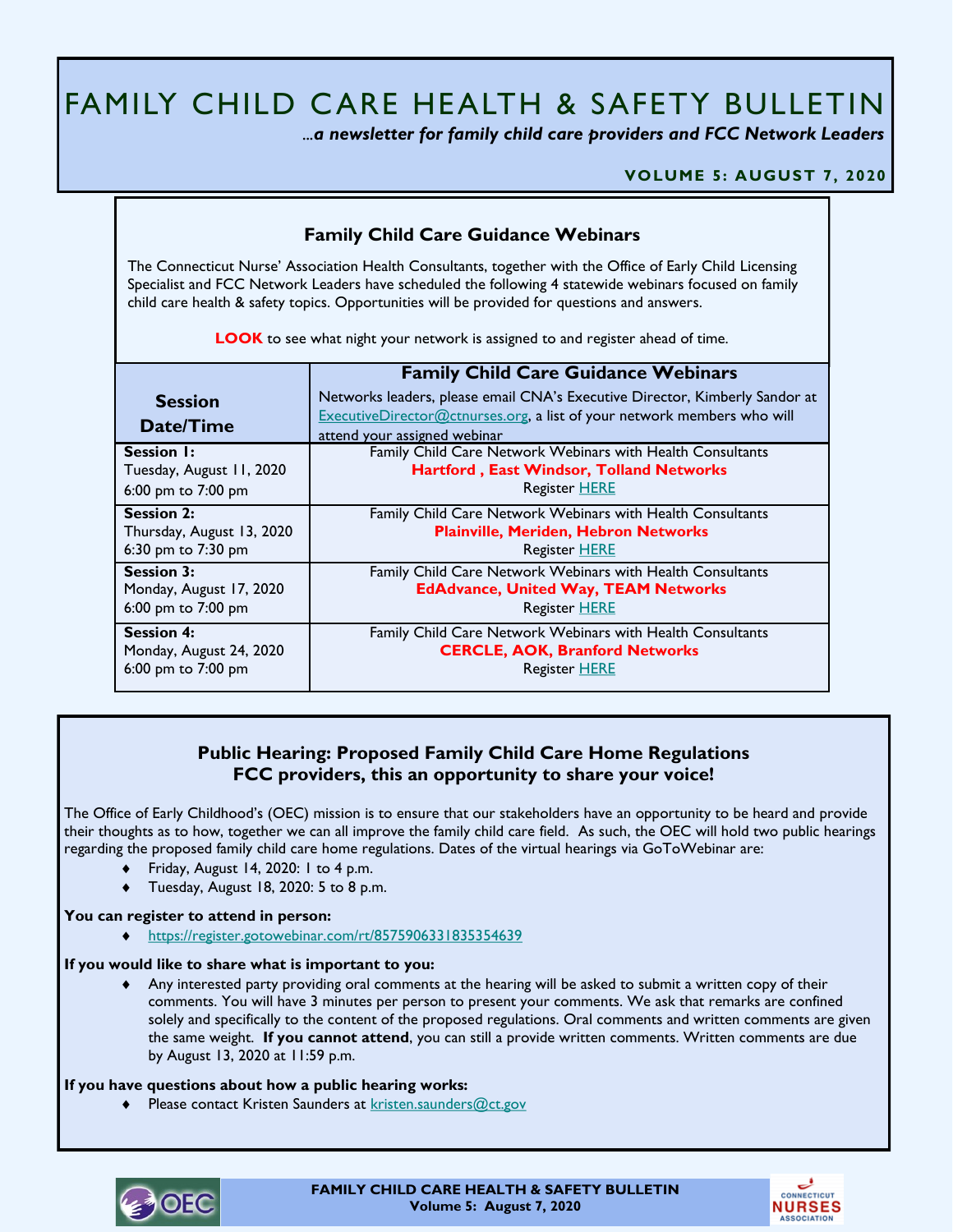# FAMILY CHILD CARE HEALTH & SAFETY BULLETIN

 *...a newsletter for family child care providers and FCC Network Leaders* 

### **VOLUME 5: AUGUST 7, 2020**

# **Family Child Care Guidance Webinars**

The Connecticut Nurse' Association Health Consultants, together with the Office of Early Child Licensing Specialist and FCC Network Leaders have scheduled the following 4 statewide webinars focused on family child care health & safety topics. Opportunities will be provided for questions and answers.

**LOOK** to see what night your network is assigned to and register ahead of time.

|                             | <b>Family Child Care Guidance Webinars</b>                                                                                                                                                    |
|-----------------------------|-----------------------------------------------------------------------------------------------------------------------------------------------------------------------------------------------|
| <b>Session</b><br>Date/Time | Networks leaders, please email CNA's Executive Director, Kimberly Sandor at<br><b>ExecutiveDirector@ctnurses.org, a list of your network members who will</b><br>attend your assigned webinar |
| <b>Session I:</b>           | Family Child Care Network Webinars with Health Consultants                                                                                                                                    |
| Tuesday, August 11, 2020    | <b>Hartford, East Windsor, Tolland Networks</b>                                                                                                                                               |
| 6:00 pm to 7:00 pm          | <b>Register HERE</b>                                                                                                                                                                          |
| <b>Session 2:</b>           | Family Child Care Network Webinars with Health Consultants                                                                                                                                    |
| Thursday, August 13, 2020   | <b>Plainville, Meriden, Hebron Networks</b>                                                                                                                                                   |
| 6:30 pm to 7:30 pm          | <b>Register HERE</b>                                                                                                                                                                          |
| <b>Session 3:</b>           | Family Child Care Network Webinars with Health Consultants                                                                                                                                    |
| Monday, August 17, 2020     | <b>EdAdvance, United Way, TEAM Networks</b>                                                                                                                                                   |
| 6:00 pm to 7:00 pm          | Register HERE                                                                                                                                                                                 |
| <b>Session 4:</b>           | Family Child Care Network Webinars with Health Consultants                                                                                                                                    |
| Monday, August 24, 2020     | <b>CERCLE, AOK, Branford Networks</b>                                                                                                                                                         |
| 6:00 pm to 7:00 pm          | <b>Register HERE</b>                                                                                                                                                                          |

# **Public Hearing: Proposed Family Child Care Home Regulations FCC providers, this an opportunity to share your voice!**

The Office of Early Childhood's (OEC) mission is to ensure that our stakeholders have an opportunity to be heard and provide their thoughts as to how, together we can all improve the family child care field. As such, the OEC will hold two public hearings regarding the proposed family child care home regulations. Dates of the virtual hearings via GoToWebinar are:

- Friday, August 14, 2020: 1 to 4 p.m.
- ◆ Tuesday, August 18, 2020: 5 to 8 p.m.

### **You can register to attend in person:**

<https://register.gotowebinar.com/rt/8575906331835354639>

### **If you would like to share what is important to you:**

 Any interested party providing oral comments at the hearing will be asked to submit a written copy of their comments. You will have 3 minutes per person to present your comments. We ask that remarks are confined solely and specifically to the content of the proposed regulations. Oral comments and written comments are given the same weight. **If you cannot attend**, you can still a provide written comments. Written comments are due by August 13, 2020 at 11:59 p.m.

### **If you have questions about how a public hearing works:**

◆ Please contact Kristen Saunders at [kristen.saunders@ct.gov](mailto:kristen.saunders@ct.gov)